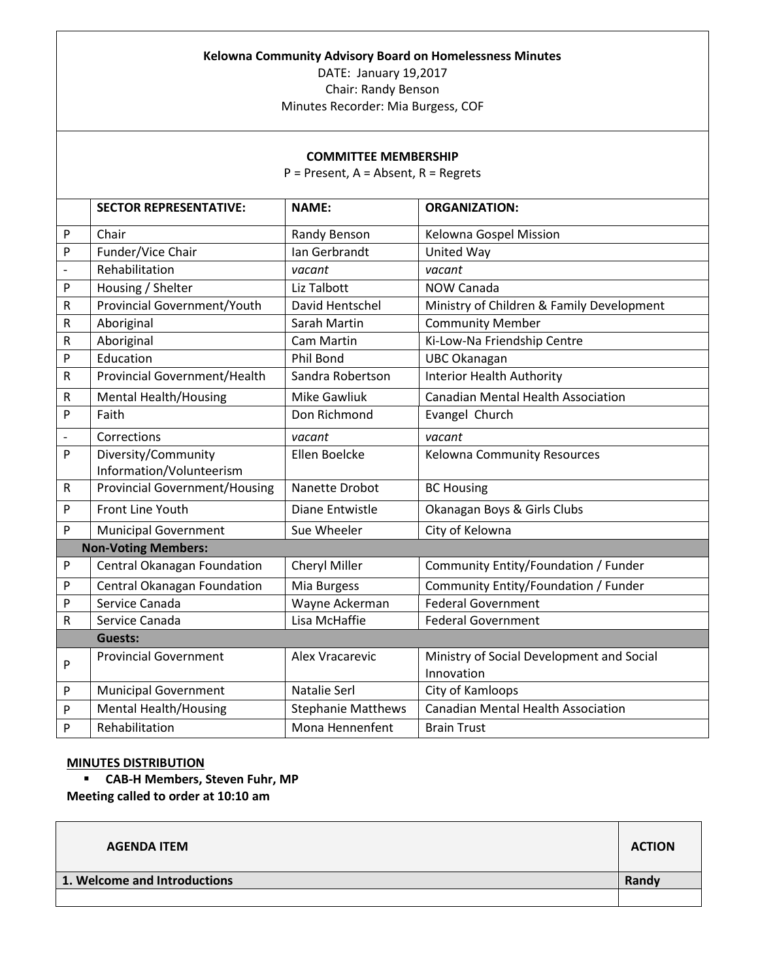## **Kelowna Community Advisory Board on Homelessness Minutes**

DATE: January 19,2017

Chair: Randy Benson

Minutes Recorder: Mia Burgess, COF

## **COMMITTEE MEMBERSHIP**

P = Present, A = Absent, R = Regrets

|                | <b>SECTOR REPRESENTATIVE:</b>                   | <b>NAME:</b>              | <b>ORGANIZATION:</b>                                    |
|----------------|-------------------------------------------------|---------------------------|---------------------------------------------------------|
| P              | Chair                                           | Randy Benson              | Kelowna Gospel Mission                                  |
| P              | Funder/Vice Chair                               | Ian Gerbrandt             | United Way                                              |
| $\overline{a}$ | Rehabilitation                                  | vacant                    | vacant                                                  |
| P              | Housing / Shelter                               | Liz Talbott               | <b>NOW Canada</b>                                       |
| R              | <b>Provincial Government/Youth</b>              | David Hentschel           | Ministry of Children & Family Development               |
| R              | Aboriginal                                      | Sarah Martin              | <b>Community Member</b>                                 |
| R              | Aboriginal                                      | Cam Martin                | Ki-Low-Na Friendship Centre                             |
| P              | Education                                       | <b>Phil Bond</b>          | <b>UBC Okanagan</b>                                     |
| R              | <b>Provincial Government/Health</b>             | Sandra Robertson          | <b>Interior Health Authority</b>                        |
| R              | <b>Mental Health/Housing</b>                    | <b>Mike Gawliuk</b>       | <b>Canadian Mental Health Association</b>               |
| P              | Faith                                           | Don Richmond              | Evangel Church                                          |
|                | Corrections                                     | vacant                    | vacant                                                  |
| P              | Diversity/Community<br>Information/Volunteerism | Ellen Boelcke             | Kelowna Community Resources                             |
| $\mathsf R$    | <b>Provincial Government/Housing</b>            | Nanette Drobot            | <b>BC Housing</b>                                       |
| P              | Front Line Youth                                | Diane Entwistle           | Okanagan Boys & Girls Clubs                             |
| P              | <b>Municipal Government</b>                     | Sue Wheeler               | City of Kelowna                                         |
|                | <b>Non-Voting Members:</b>                      |                           |                                                         |
| P              | Central Okanagan Foundation                     | Cheryl Miller             | Community Entity/Foundation / Funder                    |
| P              | Central Okanagan Foundation                     | Mia Burgess               | Community Entity/Foundation / Funder                    |
| P              | Service Canada                                  | Wayne Ackerman            | <b>Federal Government</b>                               |
| R              | Service Canada                                  | Lisa McHaffie             | <b>Federal Government</b>                               |
|                | <b>Guests:</b>                                  |                           |                                                         |
| P              | <b>Provincial Government</b>                    | Alex Vracarevic           | Ministry of Social Development and Social<br>Innovation |
| P              | <b>Municipal Government</b>                     | Natalie Serl              | City of Kamloops                                        |
| P              | <b>Mental Health/Housing</b>                    | <b>Stephanie Matthews</b> | <b>Canadian Mental Health Association</b>               |
| P              | Rehabilitation                                  | Mona Hennenfent           | <b>Brain Trust</b>                                      |

## **MINUTES DISTRIBUTION**

**CAB-H Members, Steven Fuhr, MP**

**Meeting called to order at 10:10 am**

| <b>AGENDA ITEM</b>           | <b>ACTION</b> |
|------------------------------|---------------|
| 1. Welcome and Introductions | Randy         |
|                              |               |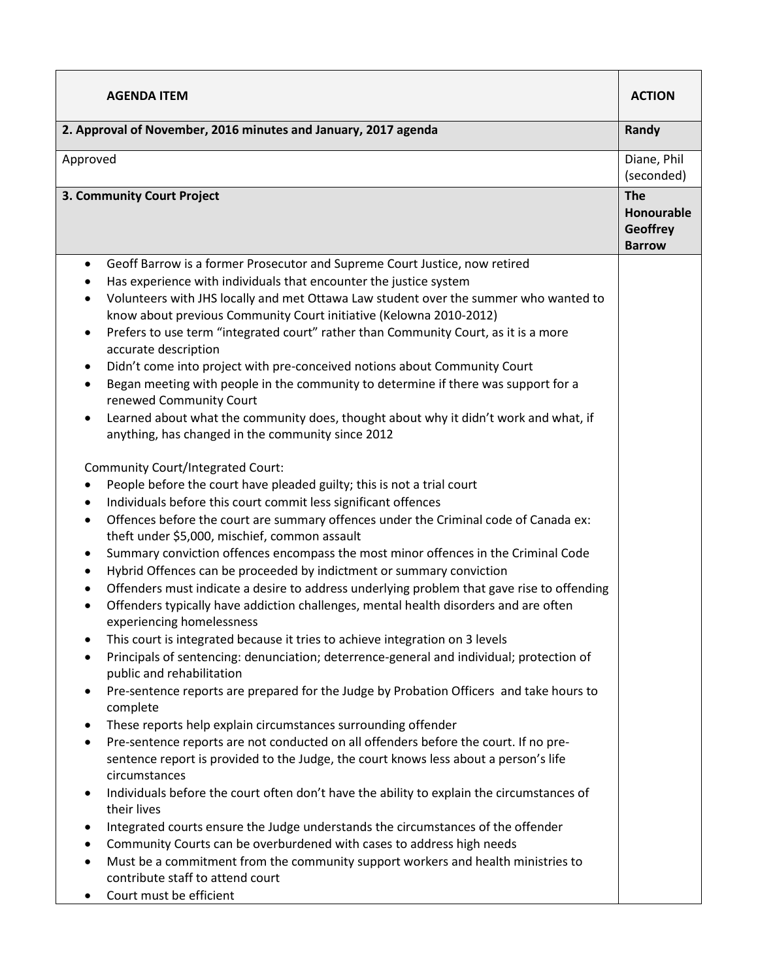| <b>AGENDA ITEM</b>                                                                                                                                                                                                                                                                                                                                                                                                                                                                                                                                                                                                                                                                                                                                                                                                                                                                                                                                                                                                                                                                                                                                                                                                                                                                                                                                                                                                                                                                                                                                                                                                                                                                                                                                                                                                                                                                                                                                                                                                                                                                                                                                                                                                                                                                                                                                                                                                                                                                                                                                                                                                                                            | <b>ACTION</b>                                                |
|---------------------------------------------------------------------------------------------------------------------------------------------------------------------------------------------------------------------------------------------------------------------------------------------------------------------------------------------------------------------------------------------------------------------------------------------------------------------------------------------------------------------------------------------------------------------------------------------------------------------------------------------------------------------------------------------------------------------------------------------------------------------------------------------------------------------------------------------------------------------------------------------------------------------------------------------------------------------------------------------------------------------------------------------------------------------------------------------------------------------------------------------------------------------------------------------------------------------------------------------------------------------------------------------------------------------------------------------------------------------------------------------------------------------------------------------------------------------------------------------------------------------------------------------------------------------------------------------------------------------------------------------------------------------------------------------------------------------------------------------------------------------------------------------------------------------------------------------------------------------------------------------------------------------------------------------------------------------------------------------------------------------------------------------------------------------------------------------------------------------------------------------------------------------------------------------------------------------------------------------------------------------------------------------------------------------------------------------------------------------------------------------------------------------------------------------------------------------------------------------------------------------------------------------------------------------------------------------------------------------------------------------------------------|--------------------------------------------------------------|
| 2. Approval of November, 2016 minutes and January, 2017 agenda                                                                                                                                                                                                                                                                                                                                                                                                                                                                                                                                                                                                                                                                                                                                                                                                                                                                                                                                                                                                                                                                                                                                                                                                                                                                                                                                                                                                                                                                                                                                                                                                                                                                                                                                                                                                                                                                                                                                                                                                                                                                                                                                                                                                                                                                                                                                                                                                                                                                                                                                                                                                | Randy                                                        |
| Approved                                                                                                                                                                                                                                                                                                                                                                                                                                                                                                                                                                                                                                                                                                                                                                                                                                                                                                                                                                                                                                                                                                                                                                                                                                                                                                                                                                                                                                                                                                                                                                                                                                                                                                                                                                                                                                                                                                                                                                                                                                                                                                                                                                                                                                                                                                                                                                                                                                                                                                                                                                                                                                                      | Diane, Phil<br>(seconded)                                    |
| 3. Community Court Project                                                                                                                                                                                                                                                                                                                                                                                                                                                                                                                                                                                                                                                                                                                                                                                                                                                                                                                                                                                                                                                                                                                                                                                                                                                                                                                                                                                                                                                                                                                                                                                                                                                                                                                                                                                                                                                                                                                                                                                                                                                                                                                                                                                                                                                                                                                                                                                                                                                                                                                                                                                                                                    | <b>The</b><br>Honourable<br><b>Geoffrey</b><br><b>Barrow</b> |
| Geoff Barrow is a former Prosecutor and Supreme Court Justice, now retired<br>$\bullet$<br>Has experience with individuals that encounter the justice system<br>٠<br>Volunteers with JHS locally and met Ottawa Law student over the summer who wanted to<br>$\bullet$<br>know about previous Community Court initiative (Kelowna 2010-2012)<br>Prefers to use term "integrated court" rather than Community Court, as it is a more<br>$\bullet$<br>accurate description<br>Didn't come into project with pre-conceived notions about Community Court<br>$\bullet$<br>Began meeting with people in the community to determine if there was support for a<br>٠<br>renewed Community Court<br>Learned about what the community does, thought about why it didn't work and what, if<br>$\bullet$<br>anything, has changed in the community since 2012<br><b>Community Court/Integrated Court:</b><br>People before the court have pleaded guilty; this is not a trial court<br>٠<br>Individuals before this court commit less significant offences<br>٠<br>Offences before the court are summary offences under the Criminal code of Canada ex:<br>٠<br>theft under \$5,000, mischief, common assault<br>Summary conviction offences encompass the most minor offences in the Criminal Code<br>٠<br>Hybrid Offences can be proceeded by indictment or summary conviction<br>٠<br>Offenders must indicate a desire to address underlying problem that gave rise to offending<br>٠<br>Offenders typically have addiction challenges, mental health disorders and are often<br>experiencing homelessness<br>This court is integrated because it tries to achieve integration on 3 levels<br>٠<br>Principals of sentencing: denunciation; deterrence-general and individual; protection of<br>٠<br>public and rehabilitation<br>Pre-sentence reports are prepared for the Judge by Probation Officers and take hours to<br>٠<br>complete<br>These reports help explain circumstances surrounding offender<br>٠<br>Pre-sentence reports are not conducted on all offenders before the court. If no pre-<br>٠<br>sentence report is provided to the Judge, the court knows less about a person's life<br>circumstances<br>Individuals before the court often don't have the ability to explain the circumstances of<br>٠<br>their lives<br>Integrated courts ensure the Judge understands the circumstances of the offender<br>٠<br>Community Courts can be overburdened with cases to address high needs<br>٠<br>Must be a commitment from the community support workers and health ministries to<br>٠<br>contribute staff to attend court<br>Court must be efficient |                                                              |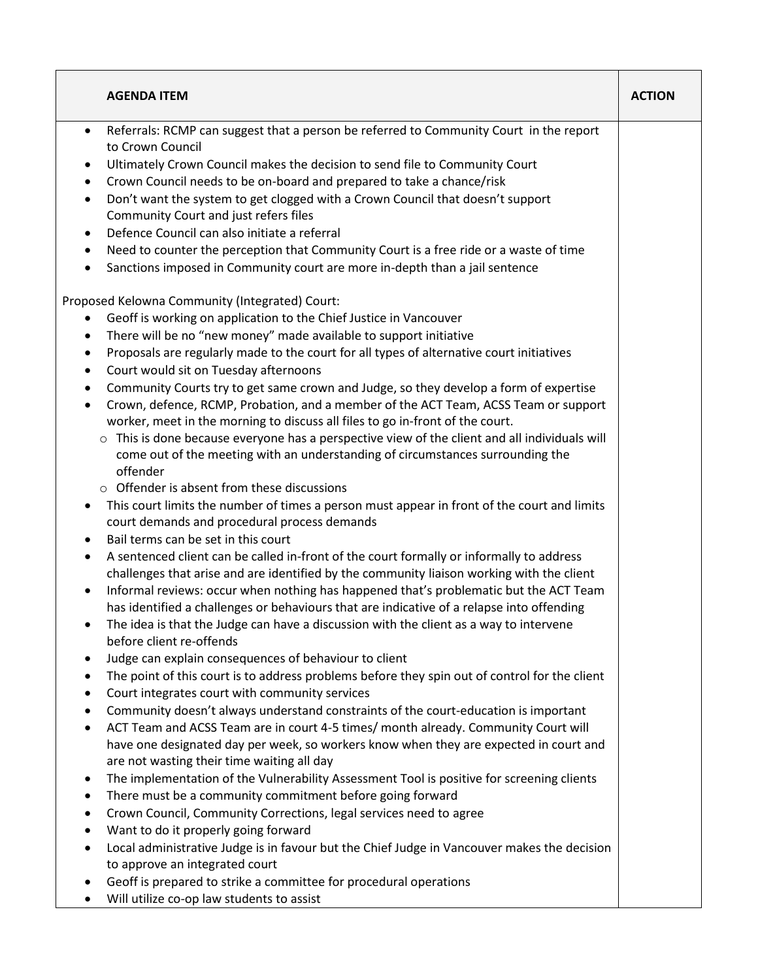| <b>AGENDA ITEM</b>                                                                                                                                                                                                                                                                                                                                                                                                                                                                                                                                                                                                                                                                                                                                                                                                                                                                                                                                                                                                                                                                                                                                                                                                                                                                                                                                                                                                                                           | <b>ACTION</b> |
|--------------------------------------------------------------------------------------------------------------------------------------------------------------------------------------------------------------------------------------------------------------------------------------------------------------------------------------------------------------------------------------------------------------------------------------------------------------------------------------------------------------------------------------------------------------------------------------------------------------------------------------------------------------------------------------------------------------------------------------------------------------------------------------------------------------------------------------------------------------------------------------------------------------------------------------------------------------------------------------------------------------------------------------------------------------------------------------------------------------------------------------------------------------------------------------------------------------------------------------------------------------------------------------------------------------------------------------------------------------------------------------------------------------------------------------------------------------|---------------|
| Referrals: RCMP can suggest that a person be referred to Community Court in the report<br>$\bullet$<br>to Crown Council<br>Ultimately Crown Council makes the decision to send file to Community Court<br>٠<br>Crown Council needs to be on-board and prepared to take a chance/risk<br>$\bullet$<br>Don't want the system to get clogged with a Crown Council that doesn't support<br>$\bullet$<br>Community Court and just refers files<br>Defence Council can also initiate a referral<br>٠<br>Need to counter the perception that Community Court is a free ride or a waste of time<br>٠<br>Sanctions imposed in Community court are more in-depth than a jail sentence<br>$\bullet$<br>Proposed Kelowna Community (Integrated) Court:<br>Geoff is working on application to the Chief Justice in Vancouver<br>$\bullet$                                                                                                                                                                                                                                                                                                                                                                                                                                                                                                                                                                                                                                 |               |
| There will be no "new money" made available to support initiative<br>٠<br>Proposals are regularly made to the court for all types of alternative court initiatives<br>٠<br>Court would sit on Tuesday afternoons<br>$\bullet$<br>Community Courts try to get same crown and Judge, so they develop a form of expertise<br>$\bullet$<br>Crown, defence, RCMP, Probation, and a member of the ACT Team, ACSS Team or support<br>٠<br>worker, meet in the morning to discuss all files to go in-front of the court.<br>This is done because everyone has a perspective view of the client and all individuals will<br>$\circ$<br>come out of the meeting with an understanding of circumstances surrounding the<br>offender<br>$\circ$ Offender is absent from these discussions<br>This court limits the number of times a person must appear in front of the court and limits<br>$\bullet$<br>court demands and procedural process demands<br>Bail terms can be set in this court<br>$\bullet$<br>A sentenced client can be called in-front of the court formally or informally to address<br>٠<br>challenges that arise and are identified by the community liaison working with the client                                                                                                                                                                                                                                                                  |               |
| Informal reviews: occur when nothing has happened that's problematic but the ACT Team<br>$\bullet$<br>has identified a challenges or behaviours that are indicative of a relapse into offending<br>The idea is that the Judge can have a discussion with the client as a way to intervene<br>before client re-offends<br>Judge can explain consequences of behaviour to client<br>٠<br>The point of this court is to address problems before they spin out of control for the client<br>٠<br>Court integrates court with community services<br>٠<br>Community doesn't always understand constraints of the court-education is important<br>٠<br>ACT Team and ACSS Team are in court 4-5 times/ month already. Community Court will<br>٠<br>have one designated day per week, so workers know when they are expected in court and<br>are not wasting their time waiting all day<br>The implementation of the Vulnerability Assessment Tool is positive for screening clients<br>٠<br>There must be a community commitment before going forward<br>٠<br>Crown Council, Community Corrections, legal services need to agree<br>٠<br>Want to do it properly going forward<br>$\bullet$<br>Local administrative Judge is in favour but the Chief Judge in Vancouver makes the decision<br>٠<br>to approve an integrated court<br>Geoff is prepared to strike a committee for procedural operations<br>٠<br>Will utilize co-op law students to assist<br>$\bullet$ |               |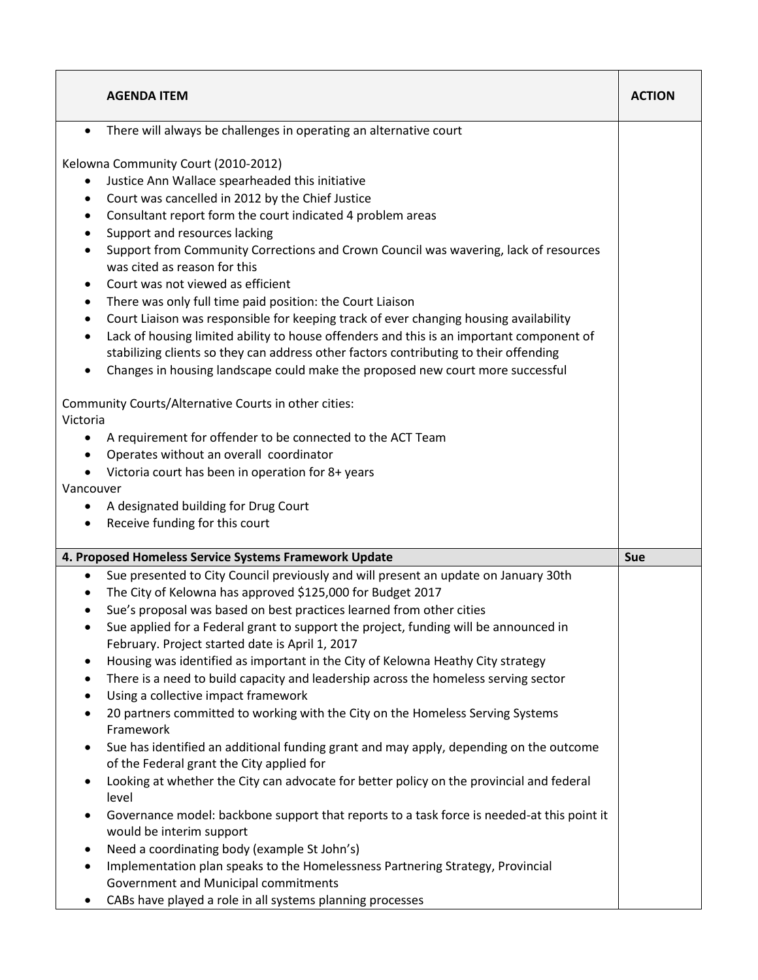|                                                                                                                             | <b>AGENDA ITEM</b>                                                                                                                                                                                                                                                                                                                                                                                                                                                                                                                                                                                                                                                                                                                                                                                                                                                                                                                                                                                                                                                                                                                                                                                                                                                                                | <b>ACTION</b> |
|-----------------------------------------------------------------------------------------------------------------------------|---------------------------------------------------------------------------------------------------------------------------------------------------------------------------------------------------------------------------------------------------------------------------------------------------------------------------------------------------------------------------------------------------------------------------------------------------------------------------------------------------------------------------------------------------------------------------------------------------------------------------------------------------------------------------------------------------------------------------------------------------------------------------------------------------------------------------------------------------------------------------------------------------------------------------------------------------------------------------------------------------------------------------------------------------------------------------------------------------------------------------------------------------------------------------------------------------------------------------------------------------------------------------------------------------|---------------|
| $\bullet$                                                                                                                   | There will always be challenges in operating an alternative court                                                                                                                                                                                                                                                                                                                                                                                                                                                                                                                                                                                                                                                                                                                                                                                                                                                                                                                                                                                                                                                                                                                                                                                                                                 |               |
| ٠<br>٠<br>$\bullet$<br>$\bullet$<br>$\bullet$<br>$\bullet$<br>٠<br>٠<br>$\bullet$                                           | Kelowna Community Court (2010-2012)<br>Justice Ann Wallace spearheaded this initiative<br>Court was cancelled in 2012 by the Chief Justice<br>Consultant report form the court indicated 4 problem areas<br>Support and resources lacking<br>Support from Community Corrections and Crown Council was wavering, lack of resources<br>was cited as reason for this<br>Court was not viewed as efficient<br>There was only full time paid position: the Court Liaison<br>Court Liaison was responsible for keeping track of ever changing housing availability<br>Lack of housing limited ability to house offenders and this is an important component of<br>stabilizing clients so they can address other factors contributing to their offending<br>Changes in housing landscape could make the proposed new court more successful                                                                                                                                                                                                                                                                                                                                                                                                                                                               |               |
| Victoria<br>٠<br>$\bullet$<br>$\bullet$<br>Vancouver<br>٠<br>$\bullet$                                                      | Community Courts/Alternative Courts in other cities:<br>A requirement for offender to be connected to the ACT Team<br>Operates without an overall coordinator<br>Victoria court has been in operation for 8+ years<br>A designated building for Drug Court<br>Receive funding for this court                                                                                                                                                                                                                                                                                                                                                                                                                                                                                                                                                                                                                                                                                                                                                                                                                                                                                                                                                                                                      |               |
|                                                                                                                             | 4. Proposed Homeless Service Systems Framework Update                                                                                                                                                                                                                                                                                                                                                                                                                                                                                                                                                                                                                                                                                                                                                                                                                                                                                                                                                                                                                                                                                                                                                                                                                                             | <b>Sue</b>    |
| $\bullet$<br>$\bullet$<br>٠<br>$\bullet$<br>٠<br>$\bullet$<br>$\bullet$<br>$\bullet$<br>$\bullet$<br>$\bullet$<br>$\bullet$ | Sue presented to City Council previously and will present an update on January 30th<br>The City of Kelowna has approved \$125,000 for Budget 2017<br>Sue's proposal was based on best practices learned from other cities<br>Sue applied for a Federal grant to support the project, funding will be announced in<br>February. Project started date is April 1, 2017<br>Housing was identified as important in the City of Kelowna Heathy City strategy<br>There is a need to build capacity and leadership across the homeless serving sector<br>Using a collective impact framework<br>20 partners committed to working with the City on the Homeless Serving Systems<br>Framework<br>Sue has identified an additional funding grant and may apply, depending on the outcome<br>of the Federal grant the City applied for<br>Looking at whether the City can advocate for better policy on the provincial and federal<br>level<br>Governance model: backbone support that reports to a task force is needed-at this point it<br>would be interim support<br>Need a coordinating body (example St John's)<br>Implementation plan speaks to the Homelessness Partnering Strategy, Provincial<br>Government and Municipal commitments<br>CABs have played a role in all systems planning processes |               |